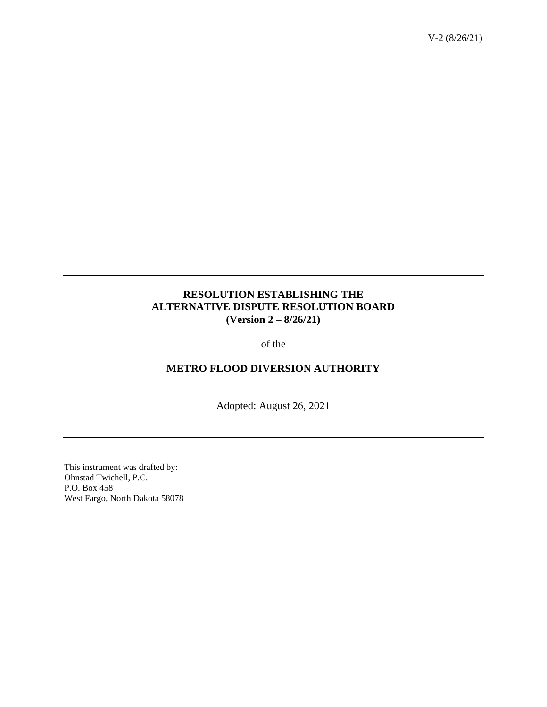# **RESOLUTION ESTABLISHING THE ALTERNATIVE DISPUTE RESOLUTION BOARD (Version 2 – 8/26/21)**

of the

## **METRO FLOOD DIVERSION AUTHORITY**

Adopted: August 26, 2021

This instrument was drafted by: Ohnstad Twichell, P.C. P.O. Box 458 West Fargo, North Dakota 58078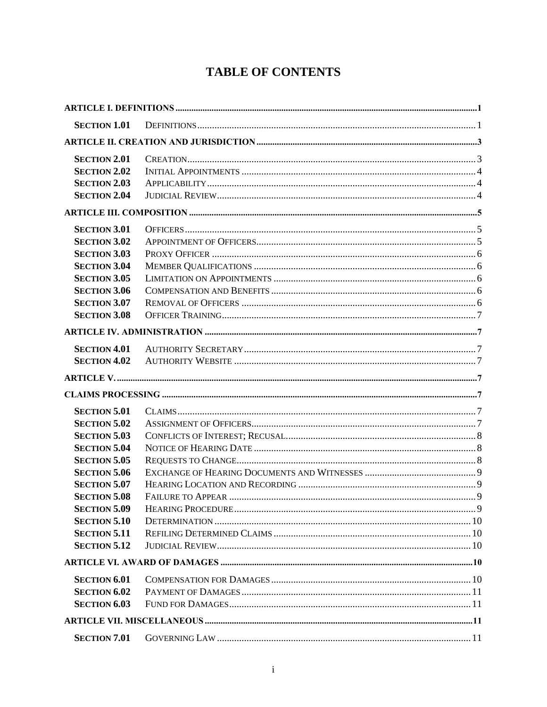# **TABLE OF CONTENTS**

| <b>SECTION 1.01</b> |  |  |  |  |  |  |
|---------------------|--|--|--|--|--|--|
|                     |  |  |  |  |  |  |
| <b>SECTION 2.01</b> |  |  |  |  |  |  |
| <b>SECTION 2.02</b> |  |  |  |  |  |  |
| <b>SECTION 2.03</b> |  |  |  |  |  |  |
| <b>SECTION 2.04</b> |  |  |  |  |  |  |
|                     |  |  |  |  |  |  |
| <b>SECTION 3.01</b> |  |  |  |  |  |  |
| <b>SECTION 3.02</b> |  |  |  |  |  |  |
| <b>SECTION 3.03</b> |  |  |  |  |  |  |
| <b>SECTION 3.04</b> |  |  |  |  |  |  |
| <b>SECTION 3.05</b> |  |  |  |  |  |  |
| <b>SECTION 3.06</b> |  |  |  |  |  |  |
| <b>SECTION 3.07</b> |  |  |  |  |  |  |
| <b>SECTION 3.08</b> |  |  |  |  |  |  |
|                     |  |  |  |  |  |  |
| <b>SECTION 4.01</b> |  |  |  |  |  |  |
| <b>SECTION 4.02</b> |  |  |  |  |  |  |
|                     |  |  |  |  |  |  |
|                     |  |  |  |  |  |  |
| <b>SECTION 5.01</b> |  |  |  |  |  |  |
| <b>SECTION 5.02</b> |  |  |  |  |  |  |
| <b>SECTION 5.03</b> |  |  |  |  |  |  |
| <b>SECTION 5.04</b> |  |  |  |  |  |  |
| <b>SECTION 5.05</b> |  |  |  |  |  |  |
| <b>SECTION 5.06</b> |  |  |  |  |  |  |
| <b>SECTION 5.07</b> |  |  |  |  |  |  |
| <b>SECTION 5.08</b> |  |  |  |  |  |  |
| <b>SECTION 5.09</b> |  |  |  |  |  |  |
| <b>SECTION 5.10</b> |  |  |  |  |  |  |
| <b>SECTION 5.11</b> |  |  |  |  |  |  |
| <b>SECTION 5.12</b> |  |  |  |  |  |  |
|                     |  |  |  |  |  |  |
| <b>SECTION 6.01</b> |  |  |  |  |  |  |
| <b>SECTION 6.02</b> |  |  |  |  |  |  |
| <b>SECTION 6.03</b> |  |  |  |  |  |  |
|                     |  |  |  |  |  |  |
|                     |  |  |  |  |  |  |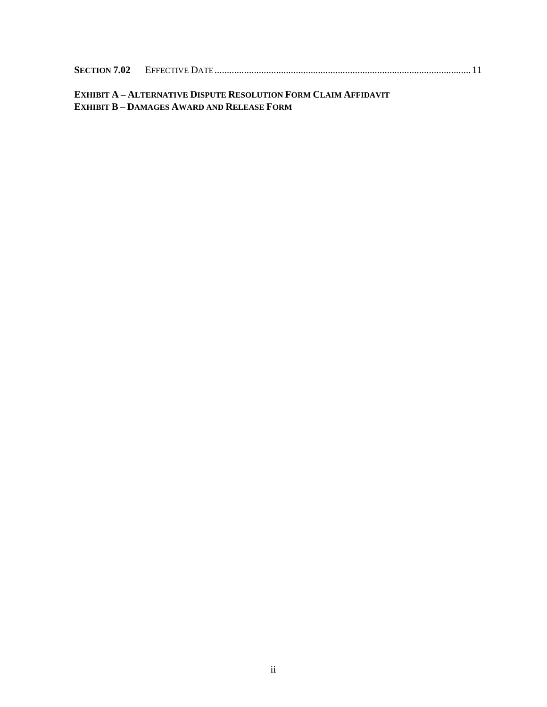| <b>SECTION 7.02</b> |  |  |
|---------------------|--|--|
|                     |  |  |

# **EXHIBIT A – ALTERNATIVE DISPUTE RESOLUTION FORM CLAIM AFFIDAVIT EXHIBIT B – DAMAGES AWARD AND RELEASE FORM**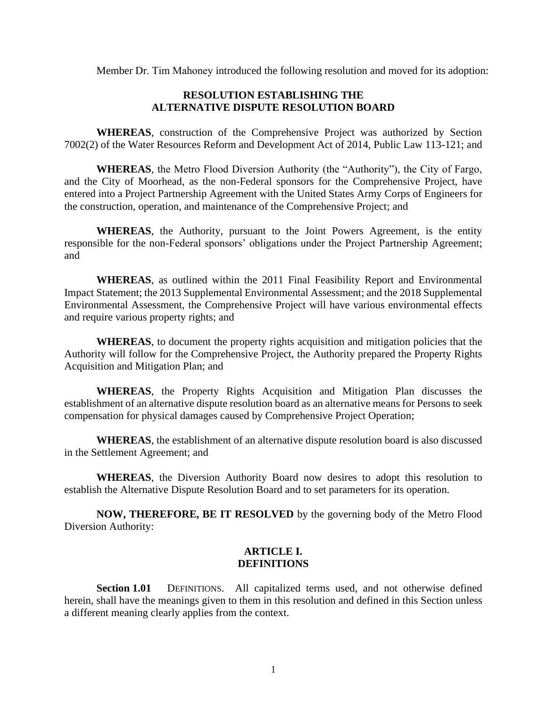Member Dr. Tim Mahoney introduced the following resolution and moved for its adoption:

## **RESOLUTION ESTABLISHING THE ALTERNATIVE DISPUTE RESOLUTION BOARD**

**WHEREAS**, construction of the Comprehensive Project was authorized by Section 7002(2) of the Water Resources Reform and Development Act of 2014, Public Law 113-121; and

**WHEREAS**, the Metro Flood Diversion Authority (the "Authority"), the City of Fargo, and the City of Moorhead, as the non-Federal sponsors for the Comprehensive Project, have entered into a Project Partnership Agreement with the United States Army Corps of Engineers for the construction, operation, and maintenance of the Comprehensive Project; and

**WHEREAS**, the Authority, pursuant to the Joint Powers Agreement, is the entity responsible for the non-Federal sponsors' obligations under the Project Partnership Agreement; and

**WHEREAS**, as outlined within the 2011 Final Feasibility Report and Environmental Impact Statement; the 2013 Supplemental Environmental Assessment; and the 2018 Supplemental Environmental Assessment, the Comprehensive Project will have various environmental effects and require various property rights; and

**WHEREAS**, to document the property rights acquisition and mitigation policies that the Authority will follow for the Comprehensive Project, the Authority prepared the Property Rights Acquisition and Mitigation Plan; and

**WHEREAS**, the Property Rights Acquisition and Mitigation Plan discusses the establishment of an alternative dispute resolution board as an alternative means for Persons to seek compensation for physical damages caused by Comprehensive Project Operation;

**WHEREAS**, the establishment of an alternative dispute resolution board is also discussed in the Settlement Agreement; and

**WHEREAS**, the Diversion Authority Board now desires to adopt this resolution to establish the Alternative Dispute Resolution Board and to set parameters for its operation.

**NOW, THEREFORE, BE IT RESOLVED** by the governing body of the Metro Flood Diversion Authority:

#### **ARTICLE I. DEFINITIONS**

<span id="page-3-1"></span><span id="page-3-0"></span>Section 1.01 DEFINITIONS. All capitalized terms used, and not otherwise defined herein, shall have the meanings given to them in this resolution and defined in this Section unless a different meaning clearly applies from the context.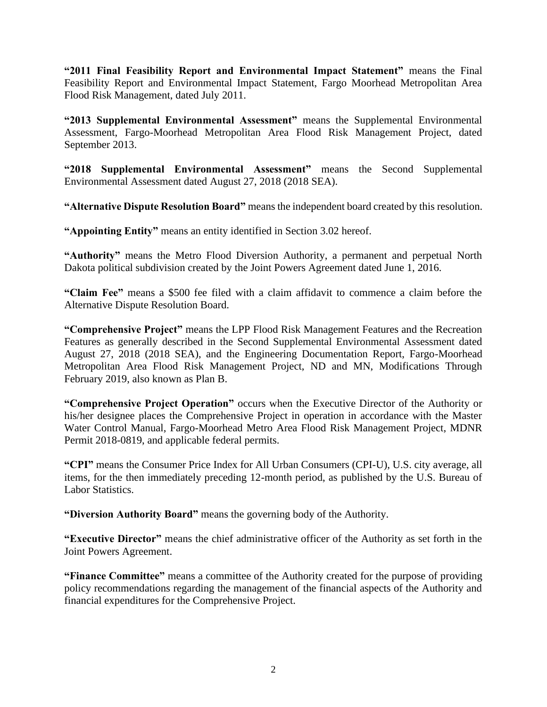**"2011 Final Feasibility Report and Environmental Impact Statement"** means the Final Feasibility Report and Environmental Impact Statement, Fargo Moorhead Metropolitan Area Flood Risk Management, dated July 2011.

**"2013 Supplemental Environmental Assessment"** means the Supplemental Environmental Assessment, Fargo-Moorhead Metropolitan Area Flood Risk Management Project, dated September 2013.

**"2018 Supplemental Environmental Assessment"** means the Second Supplemental Environmental Assessment dated August 27, 2018 (2018 SEA).

**"Alternative Dispute Resolution Board"** means the independent board created by this resolution.

**"Appointing Entity"** means an entity identified in Section 3.02 hereof.

**"Authority"** means the Metro Flood Diversion Authority, a permanent and perpetual North Dakota political subdivision created by the Joint Powers Agreement dated June 1, 2016.

**"Claim Fee"** means a \$500 fee filed with a claim affidavit to commence a claim before the Alternative Dispute Resolution Board.

**"Comprehensive Project"** means the LPP Flood Risk Management Features and the Recreation Features as generally described in the Second Supplemental Environmental Assessment dated August 27, 2018 (2018 SEA), and the Engineering Documentation Report, Fargo-Moorhead Metropolitan Area Flood Risk Management Project, ND and MN, Modifications Through February 2019, also known as Plan B.

**"Comprehensive Project Operation"** occurs when the Executive Director of the Authority or his/her designee places the Comprehensive Project in operation in accordance with the Master Water Control Manual, Fargo-Moorhead Metro Area Flood Risk Management Project, MDNR Permit 2018-0819, and applicable federal permits.

**"CPI"** means the Consumer Price Index for All Urban Consumers (CPI-U), U.S. city average, all items, for the then immediately preceding 12-month period, as published by the U.S. Bureau of Labor Statistics.

**"Diversion Authority Board"** means the governing body of the Authority.

**"Executive Director"** means the chief administrative officer of the Authority as set forth in the Joint Powers Agreement.

**"Finance Committee"** means a committee of the Authority created for the purpose of providing policy recommendations regarding the management of the financial aspects of the Authority and financial expenditures for the Comprehensive Project.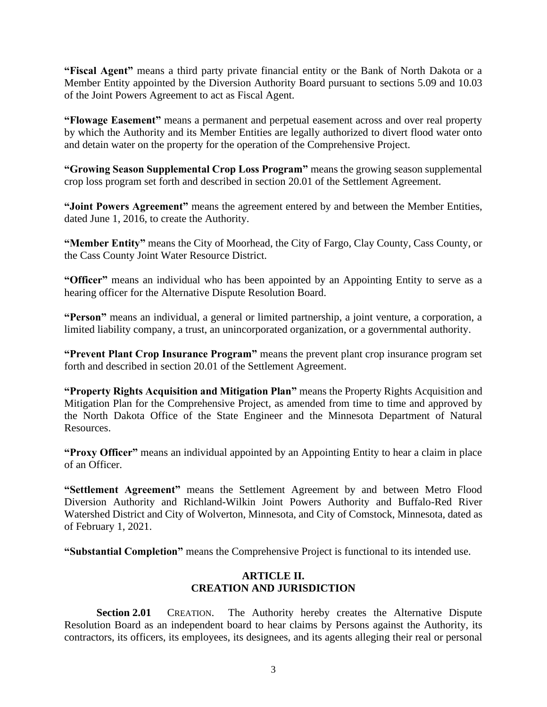**"Fiscal Agent"** means a third party private financial entity or the Bank of North Dakota or a Member Entity appointed by the Diversion Authority Board pursuant to sections 5.09 and 10.03 of the Joint Powers Agreement to act as Fiscal Agent.

**"Flowage Easement"** means a permanent and perpetual easement across and over real property by which the Authority and its Member Entities are legally authorized to divert flood water onto and detain water on the property for the operation of the Comprehensive Project.

**"Growing Season Supplemental Crop Loss Program"** means the growing season supplemental crop loss program set forth and described in section 20.01 of the Settlement Agreement.

**"Joint Powers Agreement"** means the agreement entered by and between the Member Entities, dated June 1, 2016, to create the Authority.

**"Member Entity"** means the City of Moorhead, the City of Fargo, Clay County, Cass County, or the Cass County Joint Water Resource District.

**"Officer"** means an individual who has been appointed by an Appointing Entity to serve as a hearing officer for the Alternative Dispute Resolution Board.

**"Person"** means an individual, a general or limited partnership, a joint venture, a corporation, a limited liability company, a trust, an unincorporated organization, or a governmental authority.

**"Prevent Plant Crop Insurance Program"** means the prevent plant crop insurance program set forth and described in section 20.01 of the Settlement Agreement.

**"Property Rights Acquisition and Mitigation Plan"** means the Property Rights Acquisition and Mitigation Plan for the Comprehensive Project, as amended from time to time and approved by the North Dakota Office of the State Engineer and the Minnesota Department of Natural Resources.

**"Proxy Officer"** means an individual appointed by an Appointing Entity to hear a claim in place of an Officer.

**"Settlement Agreement"** means the Settlement Agreement by and between Metro Flood Diversion Authority and Richland-Wilkin Joint Powers Authority and Buffalo-Red River Watershed District and City of Wolverton, Minnesota, and City of Comstock, Minnesota, dated as of February 1, 2021.

**"Substantial Completion"** means the Comprehensive Project is functional to its intended use.

# **ARTICLE II. CREATION AND JURISDICTION**

<span id="page-5-1"></span><span id="page-5-0"></span>**Section 2.01** CREATION. The Authority hereby creates the Alternative Dispute Resolution Board as an independent board to hear claims by Persons against the Authority, its contractors, its officers, its employees, its designees, and its agents alleging their real or personal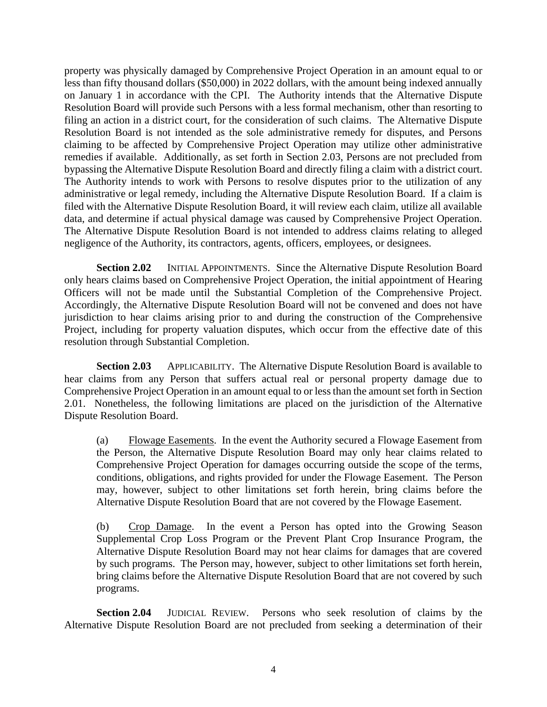property was physically damaged by Comprehensive Project Operation in an amount equal to or less than fifty thousand dollars (\$50,000) in 2022 dollars, with the amount being indexed annually on January 1 in accordance with the CPI. The Authority intends that the Alternative Dispute Resolution Board will provide such Persons with a less formal mechanism, other than resorting to filing an action in a district court, for the consideration of such claims. The Alternative Dispute Resolution Board is not intended as the sole administrative remedy for disputes, and Persons claiming to be affected by Comprehensive Project Operation may utilize other administrative remedies if available. Additionally, as set forth in Section 2.03, Persons are not precluded from bypassing the Alternative Dispute Resolution Board and directly filing a claim with a district court. The Authority intends to work with Persons to resolve disputes prior to the utilization of any administrative or legal remedy, including the Alternative Dispute Resolution Board. If a claim is filed with the Alternative Dispute Resolution Board, it will review each claim, utilize all available data, and determine if actual physical damage was caused by Comprehensive Project Operation. The Alternative Dispute Resolution Board is not intended to address claims relating to alleged negligence of the Authority, its contractors, agents, officers, employees, or designees.

<span id="page-6-0"></span>**Section 2.02** INITIAL APPOINTMENTS. Since the Alternative Dispute Resolution Board only hears claims based on Comprehensive Project Operation, the initial appointment of Hearing Officers will not be made until the Substantial Completion of the Comprehensive Project. Accordingly, the Alternative Dispute Resolution Board will not be convened and does not have jurisdiction to hear claims arising prior to and during the construction of the Comprehensive Project, including for property valuation disputes, which occur from the effective date of this resolution through Substantial Completion.

<span id="page-6-1"></span>**Section 2.03** APPLICABILITY. The Alternative Dispute Resolution Board is available to hear claims from any Person that suffers actual real or personal property damage due to Comprehensive Project Operation in an amount equal to or less than the amount set forth in Section 2.01. Nonetheless, the following limitations are placed on the jurisdiction of the Alternative Dispute Resolution Board.

(a) Flowage Easements. In the event the Authority secured a Flowage Easement from the Person, the Alternative Dispute Resolution Board may only hear claims related to Comprehensive Project Operation for damages occurring outside the scope of the terms, conditions, obligations, and rights provided for under the Flowage Easement. The Person may, however, subject to other limitations set forth herein, bring claims before the Alternative Dispute Resolution Board that are not covered by the Flowage Easement.

(b) Crop Damage. In the event a Person has opted into the Growing Season Supplemental Crop Loss Program or the Prevent Plant Crop Insurance Program, the Alternative Dispute Resolution Board may not hear claims for damages that are covered by such programs. The Person may, however, subject to other limitations set forth herein, bring claims before the Alternative Dispute Resolution Board that are not covered by such programs.

<span id="page-6-2"></span>**Section 2.04** JUDICIAL REVIEW. Persons who seek resolution of claims by the Alternative Dispute Resolution Board are not precluded from seeking a determination of their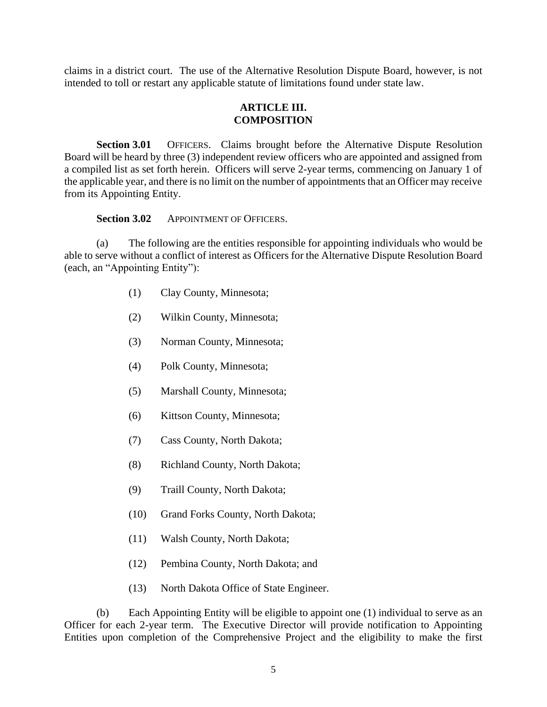claims in a district court. The use of the Alternative Resolution Dispute Board, however, is not intended to toll or restart any applicable statute of limitations found under state law.

#### **ARTICLE III. COMPOSITION**

<span id="page-7-1"></span><span id="page-7-0"></span>**Section 3.01** OFFICERS. Claims brought before the Alternative Dispute Resolution Board will be heard by three (3) independent review officers who are appointed and assigned from a compiled list as set forth herein. Officers will serve 2-year terms, commencing on January 1 of the applicable year, and there is no limit on the number of appointments that an Officer may receive from its Appointing Entity.

Section 3.02 APPOINTMENT OF OFFICERS.

<span id="page-7-2"></span>(a) The following are the entities responsible for appointing individuals who would be able to serve without a conflict of interest as Officers for the Alternative Dispute Resolution Board (each, an "Appointing Entity"):

- (1) Clay County, Minnesota;
- (2) Wilkin County, Minnesota;
- (3) Norman County, Minnesota;
- (4) Polk County, Minnesota;
- (5) Marshall County, Minnesota;
- (6) Kittson County, Minnesota;
- (7) Cass County, North Dakota;
- (8) Richland County, North Dakota;
- (9) Traill County, North Dakota;
- (10) Grand Forks County, North Dakota;
- (11) Walsh County, North Dakota;
- (12) Pembina County, North Dakota; and
- (13) North Dakota Office of State Engineer.

(b) Each Appointing Entity will be eligible to appoint one (1) individual to serve as an Officer for each 2-year term. The Executive Director will provide notification to Appointing Entities upon completion of the Comprehensive Project and the eligibility to make the first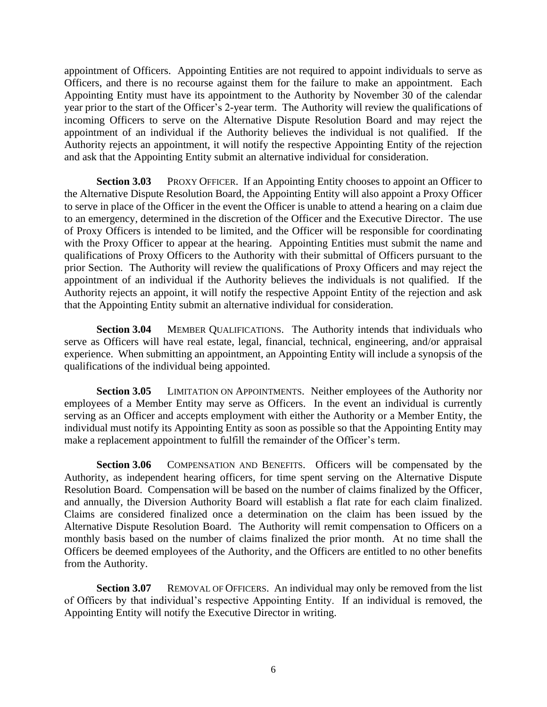appointment of Officers. Appointing Entities are not required to appoint individuals to serve as Officers, and there is no recourse against them for the failure to make an appointment. Each Appointing Entity must have its appointment to the Authority by November 30 of the calendar year prior to the start of the Officer's 2-year term. The Authority will review the qualifications of incoming Officers to serve on the Alternative Dispute Resolution Board and may reject the appointment of an individual if the Authority believes the individual is not qualified. If the Authority rejects an appointment, it will notify the respective Appointing Entity of the rejection and ask that the Appointing Entity submit an alternative individual for consideration.

<span id="page-8-0"></span>**Section 3.03** PROXY OFFICER. If an Appointing Entity chooses to appoint an Officer to the Alternative Dispute Resolution Board, the Appointing Entity will also appoint a Proxy Officer to serve in place of the Officer in the event the Officer is unable to attend a hearing on a claim due to an emergency, determined in the discretion of the Officer and the Executive Director. The use of Proxy Officers is intended to be limited, and the Officer will be responsible for coordinating with the Proxy Officer to appear at the hearing. Appointing Entities must submit the name and qualifications of Proxy Officers to the Authority with their submittal of Officers pursuant to the prior Section. The Authority will review the qualifications of Proxy Officers and may reject the appointment of an individual if the Authority believes the individuals is not qualified. If the Authority rejects an appoint, it will notify the respective Appoint Entity of the rejection and ask that the Appointing Entity submit an alternative individual for consideration.

<span id="page-8-1"></span>**Section 3.04** MEMBER QUALIFICATIONS. The Authority intends that individuals who serve as Officers will have real estate, legal, financial, technical, engineering, and/or appraisal experience. When submitting an appointment, an Appointing Entity will include a synopsis of the qualifications of the individual being appointed.

<span id="page-8-2"></span>**Section 3.05** LIMITATION ON APPOINTMENTS. Neither employees of the Authority nor employees of a Member Entity may serve as Officers. In the event an individual is currently serving as an Officer and accepts employment with either the Authority or a Member Entity, the individual must notify its Appointing Entity as soon as possible so that the Appointing Entity may make a replacement appointment to fulfill the remainder of the Officer's term.

<span id="page-8-3"></span>**Section 3.06** COMPENSATION AND BENEFITS. Officers will be compensated by the Authority, as independent hearing officers, for time spent serving on the Alternative Dispute Resolution Board. Compensation will be based on the number of claims finalized by the Officer, and annually, the Diversion Authority Board will establish a flat rate for each claim finalized. Claims are considered finalized once a determination on the claim has been issued by the Alternative Dispute Resolution Board. The Authority will remit compensation to Officers on a monthly basis based on the number of claims finalized the prior month. At no time shall the Officers be deemed employees of the Authority, and the Officers are entitled to no other benefits from the Authority.

<span id="page-8-4"></span>**Section 3.07** REMOVAL OF OFFICERS. An individual may only be removed from the list of Officers by that individual's respective Appointing Entity. If an individual is removed, the Appointing Entity will notify the Executive Director in writing.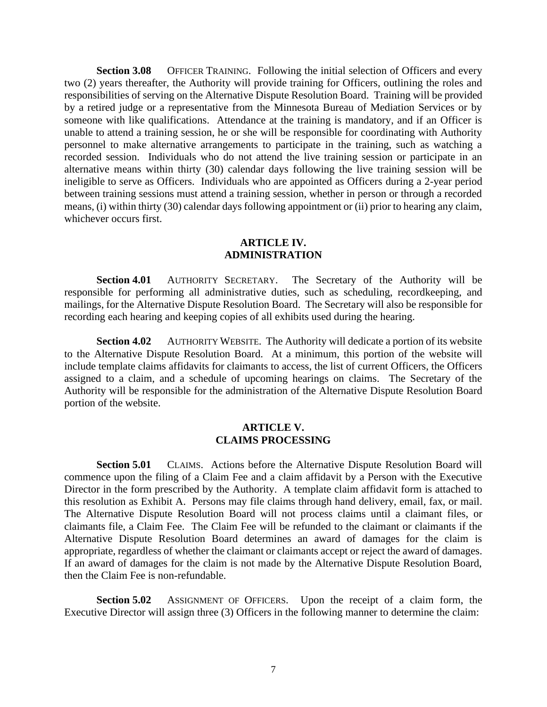<span id="page-9-0"></span>**Section 3.08** OFFICER TRAINING. Following the initial selection of Officers and every two (2) years thereafter, the Authority will provide training for Officers, outlining the roles and responsibilities of serving on the Alternative Dispute Resolution Board. Training will be provided by a retired judge or a representative from the Minnesota Bureau of Mediation Services or by someone with like qualifications. Attendance at the training is mandatory, and if an Officer is unable to attend a training session, he or she will be responsible for coordinating with Authority personnel to make alternative arrangements to participate in the training, such as watching a recorded session. Individuals who do not attend the live training session or participate in an alternative means within thirty (30) calendar days following the live training session will be ineligible to serve as Officers. Individuals who are appointed as Officers during a 2-year period between training sessions must attend a training session, whether in person or through a recorded means, (i) within thirty (30) calendar days following appointment or (ii) prior to hearing any claim, whichever occurs first.

#### **ARTICLE IV. ADMINISTRATION**

<span id="page-9-2"></span><span id="page-9-1"></span>**Section 4.01** AUTHORITY SECRETARY. The Secretary of the Authority will be responsible for performing all administrative duties, such as scheduling, recordkeeping, and mailings, for the Alternative Dispute Resolution Board. The Secretary will also be responsible for recording each hearing and keeping copies of all exhibits used during the hearing.

<span id="page-9-3"></span>**Section 4.02** AUTHORITY WEBSITE. The Authority will dedicate a portion of its website to the Alternative Dispute Resolution Board. At a minimum, this portion of the website will include template claims affidavits for claimants to access, the list of current Officers, the Officers assigned to a claim, and a schedule of upcoming hearings on claims. The Secretary of the Authority will be responsible for the administration of the Alternative Dispute Resolution Board portion of the website.

#### **ARTICLE V. CLAIMS PROCESSING**

<span id="page-9-6"></span><span id="page-9-5"></span><span id="page-9-4"></span>**Section 5.01** CLAIMS. Actions before the Alternative Dispute Resolution Board will commence upon the filing of a Claim Fee and a claim affidavit by a Person with the Executive Director in the form prescribed by the Authority. A template claim affidavit form is attached to this resolution as Exhibit A. Persons may file claims through hand delivery, email, fax, or mail. The Alternative Dispute Resolution Board will not process claims until a claimant files, or claimants file, a Claim Fee. The Claim Fee will be refunded to the claimant or claimants if the Alternative Dispute Resolution Board determines an award of damages for the claim is appropriate, regardless of whether the claimant or claimants accept or reject the award of damages. If an award of damages for the claim is not made by the Alternative Dispute Resolution Board, then the Claim Fee is non-refundable.

<span id="page-9-7"></span>**Section 5.02** ASSIGNMENT OF OFFICERS. Upon the receipt of a claim form, the Executive Director will assign three (3) Officers in the following manner to determine the claim: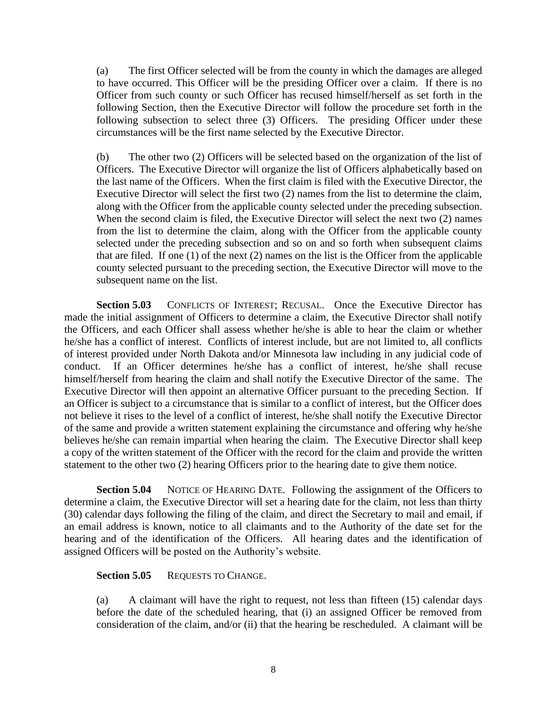(a) The first Officer selected will be from the county in which the damages are alleged to have occurred. This Officer will be the presiding Officer over a claim. If there is no Officer from such county or such Officer has recused himself/herself as set forth in the following Section, then the Executive Director will follow the procedure set forth in the following subsection to select three (3) Officers. The presiding Officer under these circumstances will be the first name selected by the Executive Director.

(b) The other two (2) Officers will be selected based on the organization of the list of Officers. The Executive Director will organize the list of Officers alphabetically based on the last name of the Officers. When the first claim is filed with the Executive Director, the Executive Director will select the first two (2) names from the list to determine the claim, along with the Officer from the applicable county selected under the preceding subsection. When the second claim is filed, the Executive Director will select the next two  $(2)$  names from the list to determine the claim, along with the Officer from the applicable county selected under the preceding subsection and so on and so forth when subsequent claims that are filed. If one (1) of the next (2) names on the list is the Officer from the applicable county selected pursuant to the preceding section, the Executive Director will move to the subsequent name on the list.

<span id="page-10-0"></span>Section 5.03 CONFLICTS OF INTEREST; RECUSAL. Once the Executive Director has made the initial assignment of Officers to determine a claim, the Executive Director shall notify the Officers, and each Officer shall assess whether he/she is able to hear the claim or whether he/she has a conflict of interest. Conflicts of interest include, but are not limited to, all conflicts of interest provided under North Dakota and/or Minnesota law including in any judicial code of conduct. If an Officer determines he/she has a conflict of interest, he/she shall recuse himself/herself from hearing the claim and shall notify the Executive Director of the same. The Executive Director will then appoint an alternative Officer pursuant to the preceding Section. If an Officer is subject to a circumstance that is similar to a conflict of interest, but the Officer does not believe it rises to the level of a conflict of interest, he/she shall notify the Executive Director of the same and provide a written statement explaining the circumstance and offering why he/she believes he/she can remain impartial when hearing the claim. The Executive Director shall keep a copy of the written statement of the Officer with the record for the claim and provide the written statement to the other two (2) hearing Officers prior to the hearing date to give them notice.

<span id="page-10-1"></span>**Section 5.04** NOTICE OF HEARING DATE. Following the assignment of the Officers to determine a claim, the Executive Director will set a hearing date for the claim, not less than thirty (30) calendar days following the filing of the claim, and direct the Secretary to mail and email, if an email address is known, notice to all claimants and to the Authority of the date set for the hearing and of the identification of the Officers. All hearing dates and the identification of assigned Officers will be posted on the Authority's website.

<span id="page-10-2"></span>Section 5.05 REQUESTS TO CHANGE.

(a) A claimant will have the right to request, not less than fifteen (15) calendar days before the date of the scheduled hearing, that (i) an assigned Officer be removed from consideration of the claim, and/or (ii) that the hearing be rescheduled. A claimant will be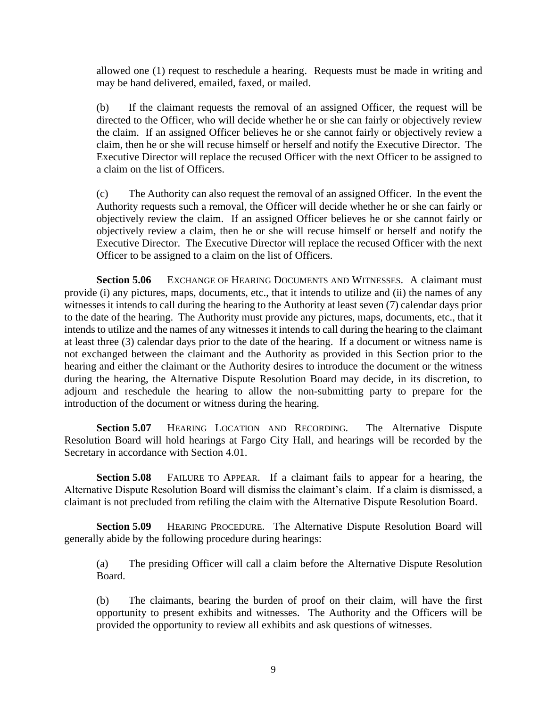allowed one (1) request to reschedule a hearing. Requests must be made in writing and may be hand delivered, emailed, faxed, or mailed.

(b) If the claimant requests the removal of an assigned Officer, the request will be directed to the Officer, who will decide whether he or she can fairly or objectively review the claim. If an assigned Officer believes he or she cannot fairly or objectively review a claim, then he or she will recuse himself or herself and notify the Executive Director. The Executive Director will replace the recused Officer with the next Officer to be assigned to a claim on the list of Officers.

(c) The Authority can also request the removal of an assigned Officer. In the event the Authority requests such a removal, the Officer will decide whether he or she can fairly or objectively review the claim. If an assigned Officer believes he or she cannot fairly or objectively review a claim, then he or she will recuse himself or herself and notify the Executive Director. The Executive Director will replace the recused Officer with the next Officer to be assigned to a claim on the list of Officers.

<span id="page-11-0"></span>**Section 5.06** EXCHANGE OF HEARING DOCUMENTS AND WITNESSES. A claimant must provide (i) any pictures, maps, documents, etc., that it intends to utilize and (ii) the names of any witnesses it intends to call during the hearing to the Authority at least seven (7) calendar days prior to the date of the hearing. The Authority must provide any pictures, maps, documents, etc., that it intends to utilize and the names of any witnesses it intends to call during the hearing to the claimant at least three (3) calendar days prior to the date of the hearing. If a document or witness name is not exchanged between the claimant and the Authority as provided in this Section prior to the hearing and either the claimant or the Authority desires to introduce the document or the witness during the hearing, the Alternative Dispute Resolution Board may decide, in its discretion, to adjourn and reschedule the hearing to allow the non-submitting party to prepare for the introduction of the document or witness during the hearing.

<span id="page-11-1"></span>**Section 5.07** HEARING LOCATION AND RECORDING. The Alternative Dispute Resolution Board will hold hearings at Fargo City Hall, and hearings will be recorded by the Secretary in accordance with Section 4.01.

<span id="page-11-2"></span>**Section 5.08** FAILURE TO APPEAR. If a claimant fails to appear for a hearing, the Alternative Dispute Resolution Board will dismiss the claimant's claim. If a claim is dismissed, a claimant is not precluded from refiling the claim with the Alternative Dispute Resolution Board.

<span id="page-11-3"></span>**Section 5.09** HEARING PROCEDURE. The Alternative Dispute Resolution Board will generally abide by the following procedure during hearings:

(a) The presiding Officer will call a claim before the Alternative Dispute Resolution Board.

(b) The claimants, bearing the burden of proof on their claim, will have the first opportunity to present exhibits and witnesses. The Authority and the Officers will be provided the opportunity to review all exhibits and ask questions of witnesses.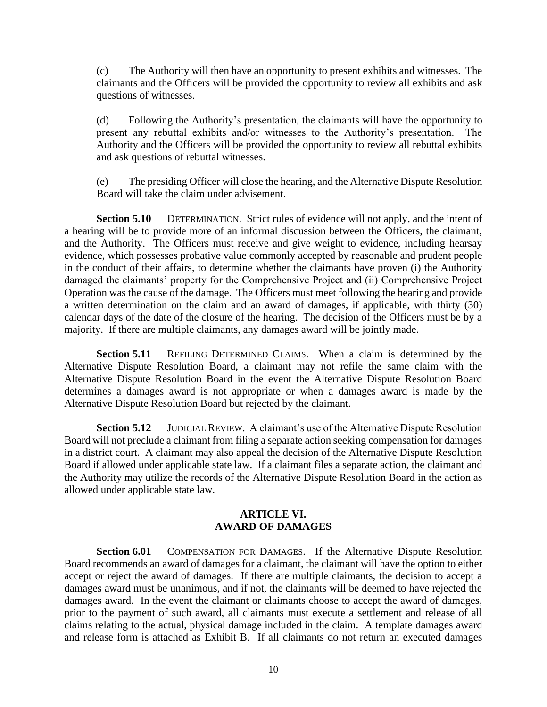(c) The Authority will then have an opportunity to present exhibits and witnesses. The claimants and the Officers will be provided the opportunity to review all exhibits and ask questions of witnesses.

(d) Following the Authority's presentation, the claimants will have the opportunity to present any rebuttal exhibits and/or witnesses to the Authority's presentation. The Authority and the Officers will be provided the opportunity to review all rebuttal exhibits and ask questions of rebuttal witnesses.

(e) The presiding Officer will close the hearing, and the Alternative Dispute Resolution Board will take the claim under advisement.

<span id="page-12-0"></span>**Section 5.10** DETERMINATION. Strict rules of evidence will not apply, and the intent of a hearing will be to provide more of an informal discussion between the Officers, the claimant, and the Authority. The Officers must receive and give weight to evidence, including hearsay evidence, which possesses probative value commonly accepted by reasonable and prudent people in the conduct of their affairs, to determine whether the claimants have proven (i) the Authority damaged the claimants' property for the Comprehensive Project and (ii) Comprehensive Project Operation was the cause of the damage. The Officers must meet following the hearing and provide a written determination on the claim and an award of damages, if applicable, with thirty (30) calendar days of the date of the closure of the hearing. The decision of the Officers must be by a majority. If there are multiple claimants, any damages award will be jointly made.

<span id="page-12-1"></span>**Section 5.11** REFILING DETERMINED CLAIMS. When a claim is determined by the Alternative Dispute Resolution Board, a claimant may not refile the same claim with the Alternative Dispute Resolution Board in the event the Alternative Dispute Resolution Board determines a damages award is not appropriate or when a damages award is made by the Alternative Dispute Resolution Board but rejected by the claimant.

<span id="page-12-2"></span>**Section 5.12** JUDICIAL REVIEW. A claimant's use of the Alternative Dispute Resolution Board will not preclude a claimant from filing a separate action seeking compensation for damages in a district court. A claimant may also appeal the decision of the Alternative Dispute Resolution Board if allowed under applicable state law. If a claimant files a separate action, the claimant and the Authority may utilize the records of the Alternative Dispute Resolution Board in the action as allowed under applicable state law.

#### **ARTICLE VI. AWARD OF DAMAGES**

<span id="page-12-4"></span><span id="page-12-3"></span>**Section 6.01** COMPENSATION FOR DAMAGES. If the Alternative Dispute Resolution Board recommends an award of damages for a claimant, the claimant will have the option to either accept or reject the award of damages. If there are multiple claimants, the decision to accept a damages award must be unanimous, and if not, the claimants will be deemed to have rejected the damages award. In the event the claimant or claimants choose to accept the award of damages, prior to the payment of such award, all claimants must execute a settlement and release of all claims relating to the actual, physical damage included in the claim. A template damages award and release form is attached as Exhibit B. If all claimants do not return an executed damages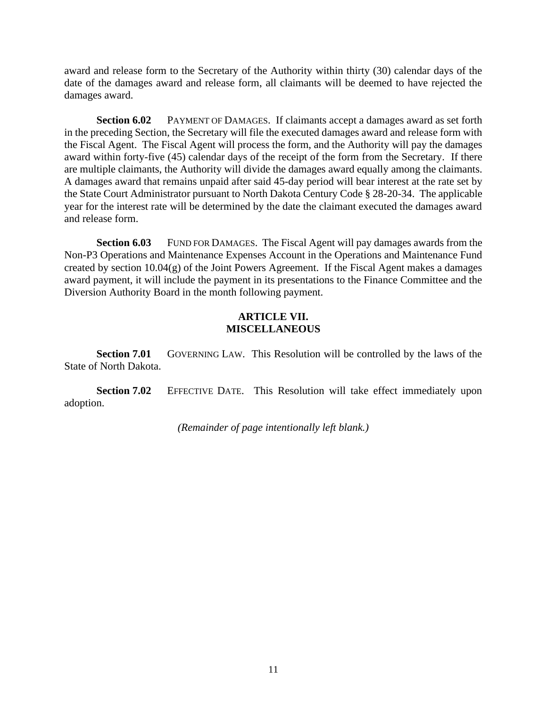award and release form to the Secretary of the Authority within thirty (30) calendar days of the date of the damages award and release form, all claimants will be deemed to have rejected the damages award.

<span id="page-13-0"></span>**Section 6.02** PAYMENT OF DAMAGES. If claimants accept a damages award as set forth in the preceding Section, the Secretary will file the executed damages award and release form with the Fiscal Agent. The Fiscal Agent will process the form, and the Authority will pay the damages award within forty-five (45) calendar days of the receipt of the form from the Secretary. If there are multiple claimants, the Authority will divide the damages award equally among the claimants. A damages award that remains unpaid after said 45-day period will bear interest at the rate set by the State Court Administrator pursuant to North Dakota Century Code § 28-20-34. The applicable year for the interest rate will be determined by the date the claimant executed the damages award and release form.

<span id="page-13-1"></span>**Section 6.03** FUND FOR DAMAGES. The Fiscal Agent will pay damages awards from the Non-P3 Operations and Maintenance Expenses Account in the Operations and Maintenance Fund created by section  $10.04(g)$  of the Joint Powers Agreement. If the Fiscal Agent makes a damages award payment, it will include the payment in its presentations to the Finance Committee and the Diversion Authority Board in the month following payment.

# **ARTICLE VII. MISCELLANEOUS**

<span id="page-13-3"></span><span id="page-13-2"></span>**Section 7.01** GOVERNING LAW. This Resolution will be controlled by the laws of the State of North Dakota.

<span id="page-13-4"></span>**Section 7.02** EFFECTIVE DATE. This Resolution will take effect immediately upon adoption.

*(Remainder of page intentionally left blank.)*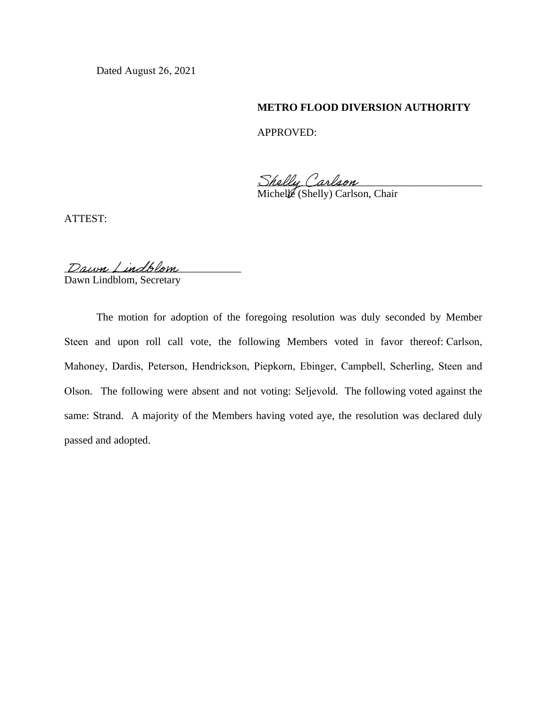Dated August 26, 2021

#### **METRO FLOOD DIVERSION AUTHORITY**

APPROVED:

Shelly Carlson

Michelle (Shelly) Carlson, Chair

ATTEST:

Dawn Lindblom

Dawn Lindblom, Secretary

The motion for adoption of the foregoing resolution was duly seconded by Member Steen and upon roll call vote, the following Members voted in favor thereof: Carlson, Mahoney, Dardis, Peterson, Hendrickson, Piepkorn, Ebinger, Campbell, Scherling, Steen and Olson. The following were absent and not voting: Seljevold. The following voted against the same: Strand. A majority of the Members having voted aye, the resolution was declared duly passed and adopted.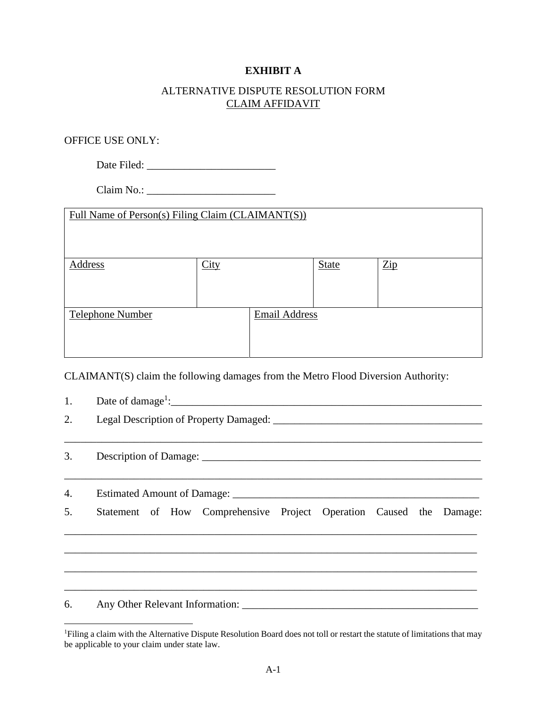# **EXHIBIT A**

# ALTERNATIVE DISPUTE RESOLUTION FORM CLAIM AFFIDAVIT

# OFFICE USE ONLY:

Date Filed: \_\_\_\_\_\_\_\_\_\_\_\_\_\_\_\_\_\_\_\_\_\_\_\_

Claim No.: \_\_\_\_\_\_\_\_\_\_\_\_\_\_\_\_\_\_\_\_\_\_\_\_

| Full Name of Person(s) Filing Claim (CLAIMANT(S)) |      |                      |              |                |
|---------------------------------------------------|------|----------------------|--------------|----------------|
| Address                                           | City |                      | <b>State</b> | $\mathbb{Z}ip$ |
| Telephone Number                                  |      | <b>Email Address</b> |              |                |

CLAIMANT(S) claim the following damages from the Metro Flood Diversion Authority:

| 1. | Date of damage <sup>1</sup> :<br>Legal Description of Property Damaged: |  |  |  |  |
|----|-------------------------------------------------------------------------|--|--|--|--|
| 2. |                                                                         |  |  |  |  |
| 3. |                                                                         |  |  |  |  |
| 4. |                                                                         |  |  |  |  |
| 5. | Statement of How Comprehensive Project Operation Caused the Damage:     |  |  |  |  |
|    |                                                                         |  |  |  |  |
| 6. | Any Other Relevant Information:                                         |  |  |  |  |

<sup>&</sup>lt;sup>1</sup>Filing a claim with the Alternative Dispute Resolution Board does not toll or restart the statute of limitations that may be applicable to your claim under state law.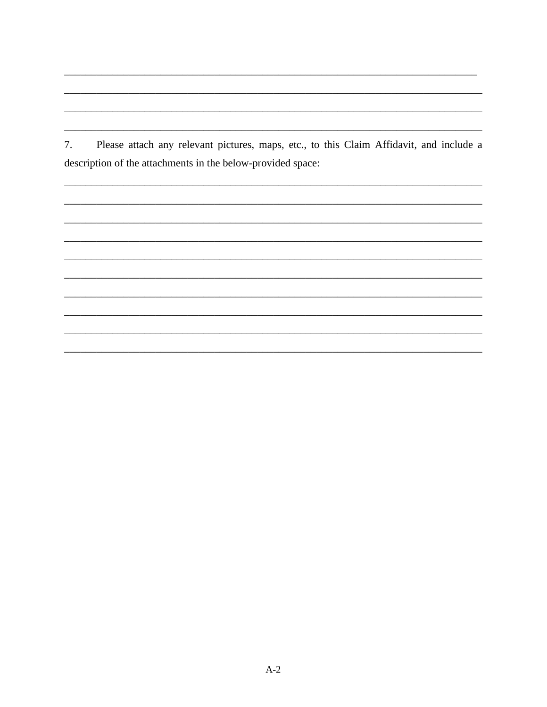Please attach any relevant pictures, maps, etc., to this Claim Affidavit, and include a 7. description of the attachments in the below-provided space: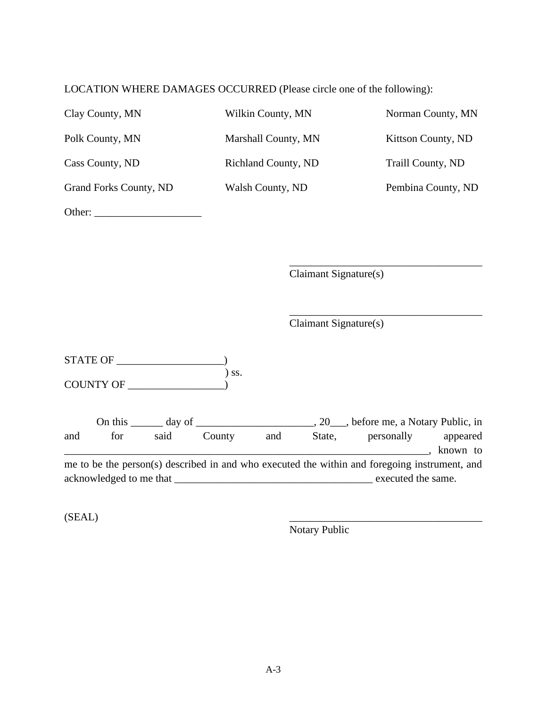LOCATION WHERE DAMAGES OCCURRED (Please circle one of the following):

| Clay County, MN               | Wilkin County, MN          | Norman County, MN  |
|-------------------------------|----------------------------|--------------------|
| Polk County, MN               | Marshall County, MN        | Kittson County, ND |
| Cass County, ND               | <b>Richland County, ND</b> | Traill County, ND  |
| <b>Grand Forks County, ND</b> | Walsh County, ND           | Pembina County, ND |
| Other:                        |                            |                    |

Claimant Signature(s)

\_\_\_\_\_\_\_\_\_\_\_\_\_\_\_\_\_\_\_\_\_\_\_\_\_\_\_\_\_\_\_\_\_\_\_\_

\_\_\_\_\_\_\_\_\_\_\_\_\_\_\_\_\_\_\_\_\_\_\_\_\_\_\_\_\_\_\_\_\_\_\_\_

Claimant Signature(s)

| <b>STATE OF</b>  |                              |
|------------------|------------------------------|
|                  | $\overline{\phantom{a}}$ SS. |
| <b>COUNTY OF</b> |                              |

|     | On this                 | day of |        |     |        | 20 ___, before me, a Notary Public, in                                                        |          |
|-----|-------------------------|--------|--------|-----|--------|-----------------------------------------------------------------------------------------------|----------|
| and | for                     | said   | County | and | State, | personally                                                                                    | appeared |
|     |                         |        |        |     |        |                                                                                               | known to |
|     |                         |        |        |     |        | me to be the person(s) described in and who executed the within and foregoing instrument, and |          |
|     | acknowledged to me that |        |        |     |        | executed the same.                                                                            |          |

 $(SEAL)$ 

Notary Public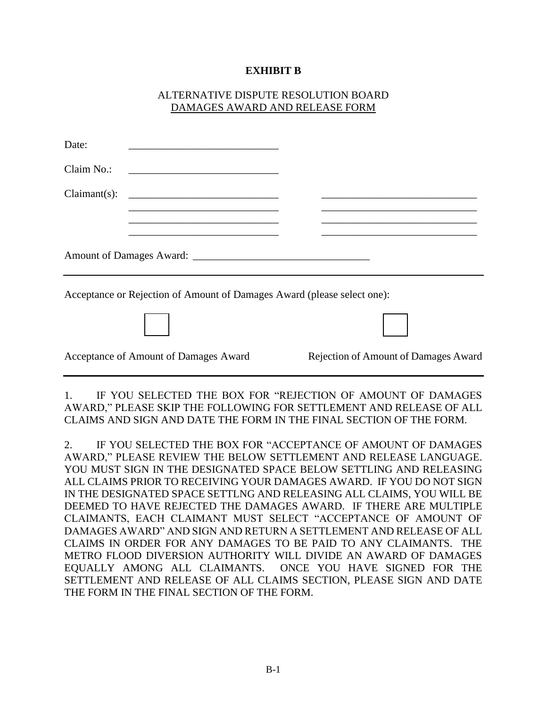# **EXHIBIT B**

## ALTERNATIVE DISPUTE RESOLUTION BOARD DAMAGES AWARD AND RELEASE FORM

| Date:      |                                                                                                                      |                                                                                                                       |
|------------|----------------------------------------------------------------------------------------------------------------------|-----------------------------------------------------------------------------------------------------------------------|
| Claim No.: | <u> 1980 - Andrea Station, amerikan basal da</u>                                                                     |                                                                                                                       |
|            |                                                                                                                      | <u> 1989 - Johann Stoff, amerikansk politiker (* 1908)</u>                                                            |
|            | <u> 1989 - Johann John Stone, markin fizikar (h. 1982).</u>                                                          | <u> 1989 - Johann Stoff, deutscher Stoff, der Stoff, der Stoff, der Stoff, der Stoff, der Stoff, der Stoff, der S</u> |
|            | <u> 1989 - Andrea Santa Andrea Andrea Andrea Andrea Andrea Andrea Andrea Andrea Andrea Andrea Andrea Andrea Andr</u> | the control of the control of the control of the control of the control of the control of the                         |
|            | Acceptance or Rejection of Amount of Damages Award (please select one):                                              |                                                                                                                       |
|            |                                                                                                                      |                                                                                                                       |
|            | Acceptance of Amount of Damages Award                                                                                | Rejection of Amount of Damages Award                                                                                  |

1. IF YOU SELECTED THE BOX FOR "REJECTION OF AMOUNT OF DAMAGES AWARD," PLEASE SKIP THE FOLLOWING FOR SETTLEMENT AND RELEASE OF ALL CLAIMS AND SIGN AND DATE THE FORM IN THE FINAL SECTION OF THE FORM.

2. IF YOU SELECTED THE BOX FOR "ACCEPTANCE OF AMOUNT OF DAMAGES AWARD," PLEASE REVIEW THE BELOW SETTLEMENT AND RELEASE LANGUAGE. YOU MUST SIGN IN THE DESIGNATED SPACE BELOW SETTLING AND RELEASING ALL CLAIMS PRIOR TO RECEIVING YOUR DAMAGES AWARD. IF YOU DO NOT SIGN IN THE DESIGNATED SPACE SETTLNG AND RELEASING ALL CLAIMS, YOU WILL BE DEEMED TO HAVE REJECTED THE DAMAGES AWARD. IF THERE ARE MULTIPLE CLAIMANTS, EACH CLAIMANT MUST SELECT "ACCEPTANCE OF AMOUNT OF DAMAGES AWARD" AND SIGN AND RETURN A SETTLEMENT AND RELEASE OF ALL CLAIMS IN ORDER FOR ANY DAMAGES TO BE PAID TO ANY CLAIMANTS. THE METRO FLOOD DIVERSION AUTHORITY WILL DIVIDE AN AWARD OF DAMAGES EQUALLY AMONG ALL CLAIMANTS. ONCE YOU HAVE SIGNED FOR THE SETTLEMENT AND RELEASE OF ALL CLAIMS SECTION, PLEASE SIGN AND DATE THE FORM IN THE FINAL SECTION OF THE FORM.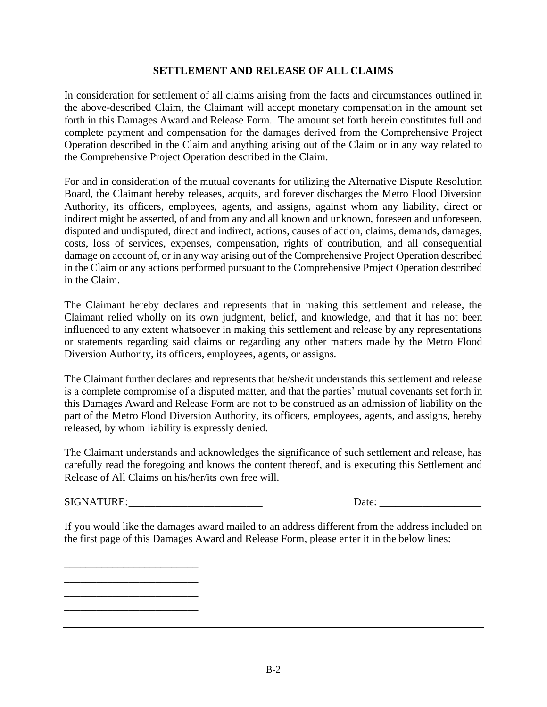#### **SETTLEMENT AND RELEASE OF ALL CLAIMS**

In consideration for settlement of all claims arising from the facts and circumstances outlined in the above-described Claim, the Claimant will accept monetary compensation in the amount set forth in this Damages Award and Release Form. The amount set forth herein constitutes full and complete payment and compensation for the damages derived from the Comprehensive Project Operation described in the Claim and anything arising out of the Claim or in any way related to the Comprehensive Project Operation described in the Claim.

For and in consideration of the mutual covenants for utilizing the Alternative Dispute Resolution Board, the Claimant hereby releases, acquits, and forever discharges the Metro Flood Diversion Authority, its officers, employees, agents, and assigns, against whom any liability, direct or indirect might be asserted, of and from any and all known and unknown, foreseen and unforeseen, disputed and undisputed, direct and indirect, actions, causes of action, claims, demands, damages, costs, loss of services, expenses, compensation, rights of contribution, and all consequential damage on account of, or in any way arising out of the Comprehensive Project Operation described in the Claim or any actions performed pursuant to the Comprehensive Project Operation described in the Claim.

The Claimant hereby declares and represents that in making this settlement and release, the Claimant relied wholly on its own judgment, belief, and knowledge, and that it has not been influenced to any extent whatsoever in making this settlement and release by any representations or statements regarding said claims or regarding any other matters made by the Metro Flood Diversion Authority, its officers, employees, agents, or assigns.

The Claimant further declares and represents that he/she/it understands this settlement and release is a complete compromise of a disputed matter, and that the parties' mutual covenants set forth in this Damages Award and Release Form are not to be construed as an admission of liability on the part of the Metro Flood Diversion Authority, its officers, employees, agents, and assigns, hereby released, by whom liability is expressly denied.

The Claimant understands and acknowledges the significance of such settlement and release, has carefully read the foregoing and knows the content thereof, and is executing this Settlement and Release of All Claims on his/her/its own free will.

SIGNATURE: Date:

\_\_\_\_\_\_\_\_\_\_\_\_\_\_\_\_\_\_\_\_\_\_\_\_\_ \_\_\_\_\_\_\_\_\_\_\_\_\_\_\_\_\_\_\_\_\_\_\_\_\_ \_\_\_\_\_\_\_\_\_\_\_\_\_\_\_\_\_\_\_\_\_\_\_\_\_ \_\_\_\_\_\_\_\_\_\_\_\_\_\_\_\_\_\_\_\_\_\_\_\_\_

If you would like the damages award mailed to an address different from the address included on the first page of this Damages Award and Release Form, please enter it in the below lines: